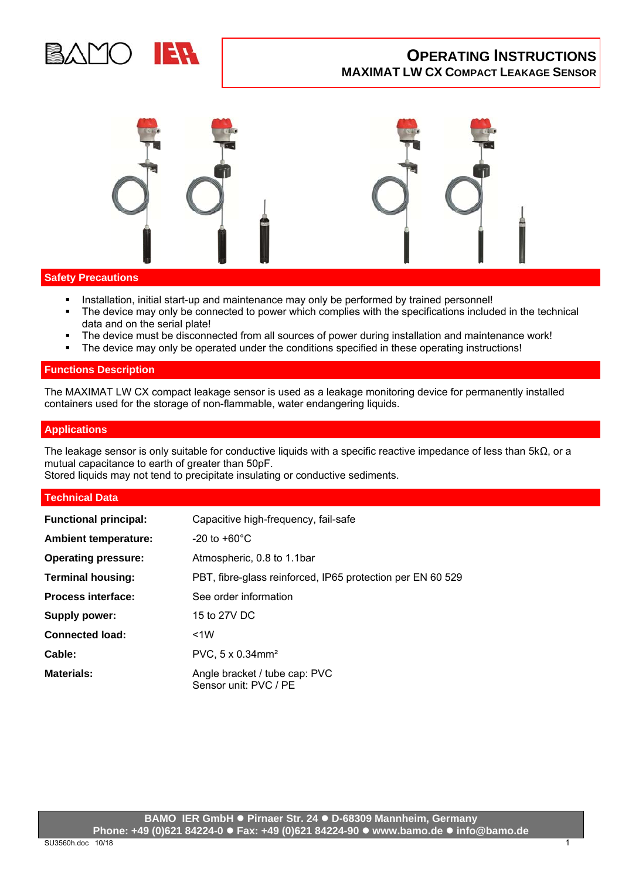

# **Safety Precautions**

- Installation, initial start-up and maintenance may only be performed by trained personnel!
- The device may only be connected to power which complies with the specifications included in the technical data and on the serial plate!
- The device must be disconnected from all sources of power during installation and maintenance work!
- The device may only be operated under the conditions specified in these operating instructions!

# **Functions Description**

The MAXIMAT LW CX compact leakage sensor is used as a leakage monitoring device for permanently installed containers used for the storage of non-flammable, water endangering liquids.

## **Applications**

The leakage sensor is only suitable for conductive liquids with a specific reactive impedance of less than 5kΩ, or a mutual capacitance to earth of greater than 50pF.

Stored liquids may not tend to precipitate insulating or conductive sediments.

# **Technical Data**

| <b>Functional principal:</b> | Capacitive high-frequency, fail-safe                       |
|------------------------------|------------------------------------------------------------|
| <b>Ambient temperature:</b>  | -20 to $+60^{\circ}$ C                                     |
| <b>Operating pressure:</b>   | Atmospheric, 0.8 to 1.1bar                                 |
| <b>Terminal housing:</b>     | PBT, fibre-glass reinforced, IP65 protection per EN 60 529 |
| <b>Process interface:</b>    | See order information                                      |
| <b>Supply power:</b>         | 15 to 27V DC                                               |
| <b>Connected load:</b>       | <1W                                                        |
| Cable:                       | PVC, $5 \times 0.34$ mm <sup>2</sup>                       |
| <b>Materials:</b>            | Angle bracket / tube cap: PVC<br>Sensor unit: PVC / PE     |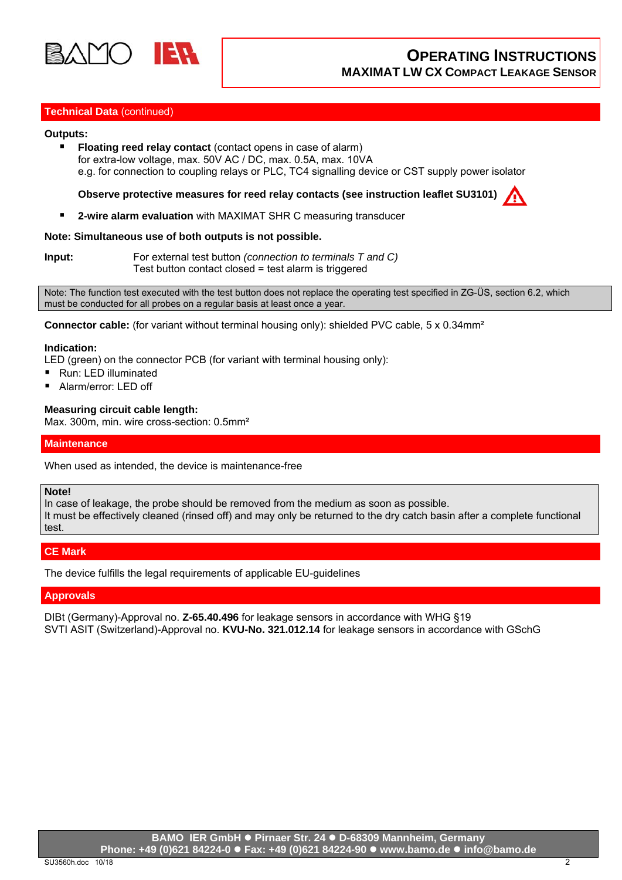

# **Technical Data** (continued)

#### **Outputs:**

**Floating reed relay contact** (contact opens in case of alarm) for extra-low voltage, max. 50V AC / DC, max. 0.5A, max. 10VA e.g. for connection to coupling relays or PLC, TC4 signalling device or CST supply power isolator

**Observe protective measures for reed relay contacts (see instruction leaflet SU3101)**

**2-wire alarm evaluation** with MAXIMAT SHR C measuring transducer

#### **Note: Simultaneous use of both outputs is not possible.**

**Input:** For external test button *(connection to terminals T and C)* Test button contact closed = test alarm is triggered

Note: The function test executed with the test button does not replace the operating test specified in ZG-ÜS, section 6.2, which must be conducted for all probes on a regular basis at least once a year.

**Connector cable:** (for variant without terminal housing only): shielded PVC cable, 5 x 0.34mm<sup>2</sup>

#### **Indication:**

LED (green) on the connector PCB (for variant with terminal housing only):

- Run: LED illuminated
- Alarm/error: LED off

## **Measuring circuit cable length:**

Max. 300m, min. wire cross-section: 0.5mm<sup>2</sup>

## **Maintenance**

When used as intended, the device is maintenance-free

#### **Note!**

In case of leakage, the probe should be removed from the medium as soon as possible. It must be effectively cleaned (rinsed off) and may only be returned to the dry catch basin after a complete functional test.

# **CE Mark**

The device fulfills the legal requirements of applicable EU-guidelines

## **Approvals**

DIBt (Germany)-Approval no. **Z-65.40.496** for leakage sensors in accordance with WHG §19 SVTI ASIT (Switzerland)-Approval no. **KVU-No. 321.012.14** for leakage sensors in accordance with GSchG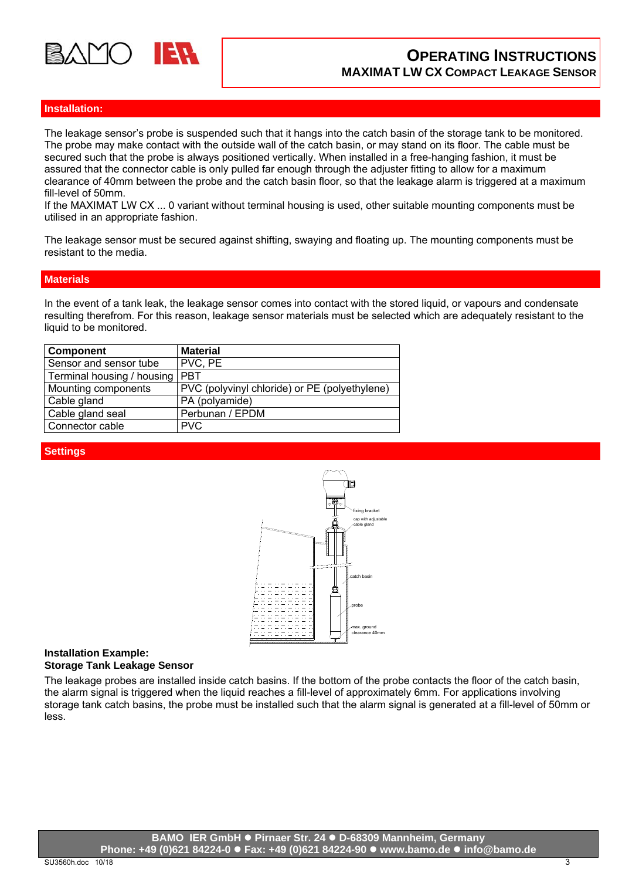

# **Installation:**

The leakage sensor's probe is suspended such that it hangs into the catch basin of the storage tank to be monitored. The probe may make contact with the outside wall of the catch basin, or may stand on its floor. The cable must be secured such that the probe is always positioned vertically. When installed in a free-hanging fashion, it must be assured that the connector cable is only pulled far enough through the adjuster fitting to allow for a maximum clearance of 40mm between the probe and the catch basin floor, so that the leakage alarm is triggered at a maximum fill-level of 50mm.

If the MAXIMAT LW CX ... 0 variant without terminal housing is used, other suitable mounting components must be utilised in an appropriate fashion.

The leakage sensor must be secured against shifting, swaying and floating up. The mounting components must be resistant to the media.

#### **Materials**

In the event of a tank leak, the leakage sensor comes into contact with the stored liquid, or vapours and condensate resulting therefrom. For this reason, leakage sensor materials must be selected which are adequately resistant to the liquid to be monitored.

| <b>Component</b>                 | <b>Material</b>                               |
|----------------------------------|-----------------------------------------------|
| Sensor and sensor tube           | PVC, PE                                       |
| Terminal housing / housing   PBT |                                               |
| Mounting components              | PVC (polyvinyl chloride) or PE (polyethylene) |
| Cable gland                      | PA (polyamide)                                |
| Cable gland seal                 | Perbunan / EPDM                               |
| Connector cable                  | <b>PVC</b>                                    |

## **Settings**



# **Installation Example:**

**Storage Tank Leakage Sensor** 

The leakage probes are installed inside catch basins. If the bottom of the probe contacts the floor of the catch basin, the alarm signal is triggered when the liquid reaches a fill-level of approximately 6mm. For applications involving storage tank catch basins, the probe must be installed such that the alarm signal is generated at a fill-level of 50mm or less.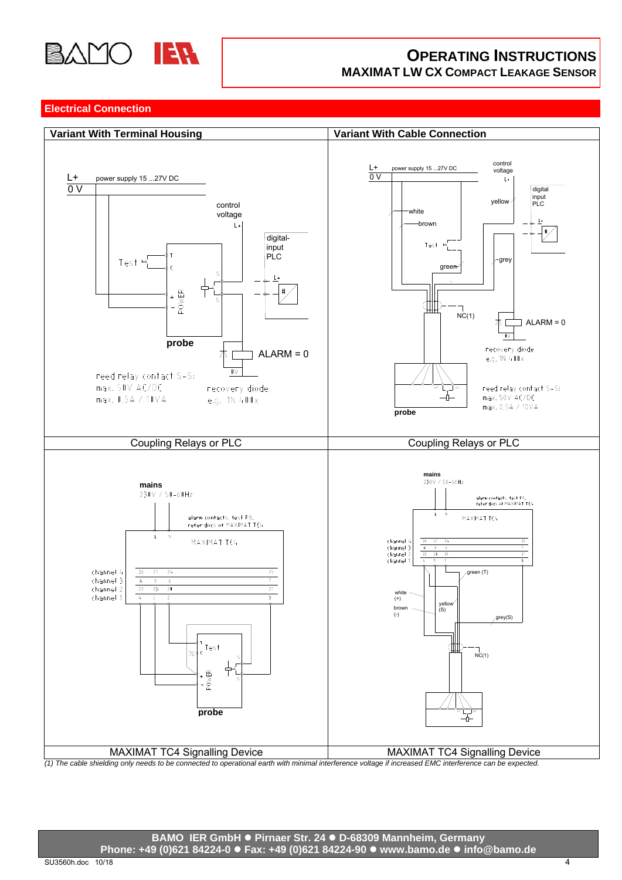

# **OPERATING INSTRUCTIONS MAXIMAT LW CX COMPACT LEAKAGE SENSOR**

## **Electrical Connection**

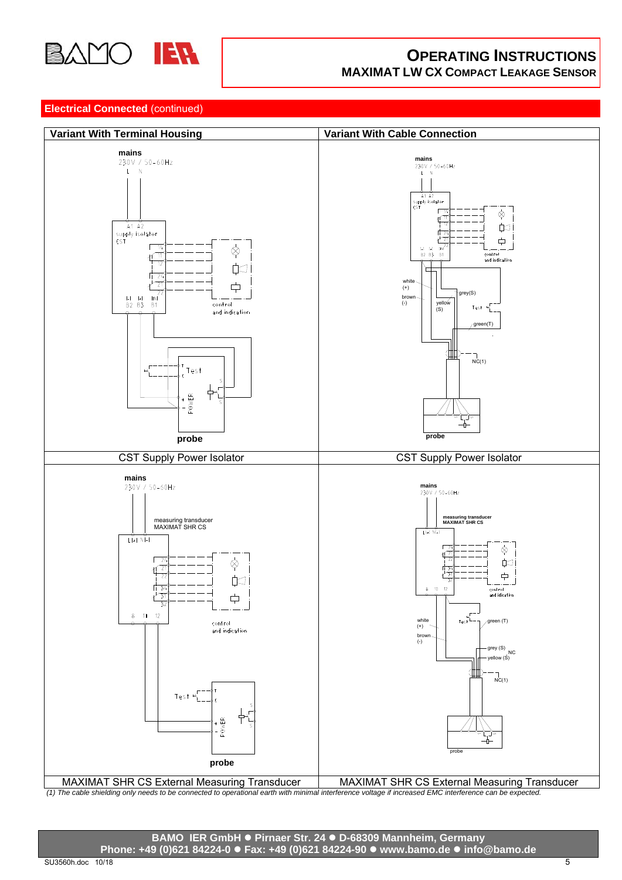

# **OPERATING INSTRUCTIONS MAXIMAT LW CX COMPACT LEAKAGE SENSOR**

# **Electrical Connected** (continued)



**BAMO IER GmbH Pirnaer Str. 24 D-68309 Mannheim, Germany Phone: +49 (0)621 84224-0 Fax: +49 (0)621 84224-90 www.bamo.de info@bamo.de**